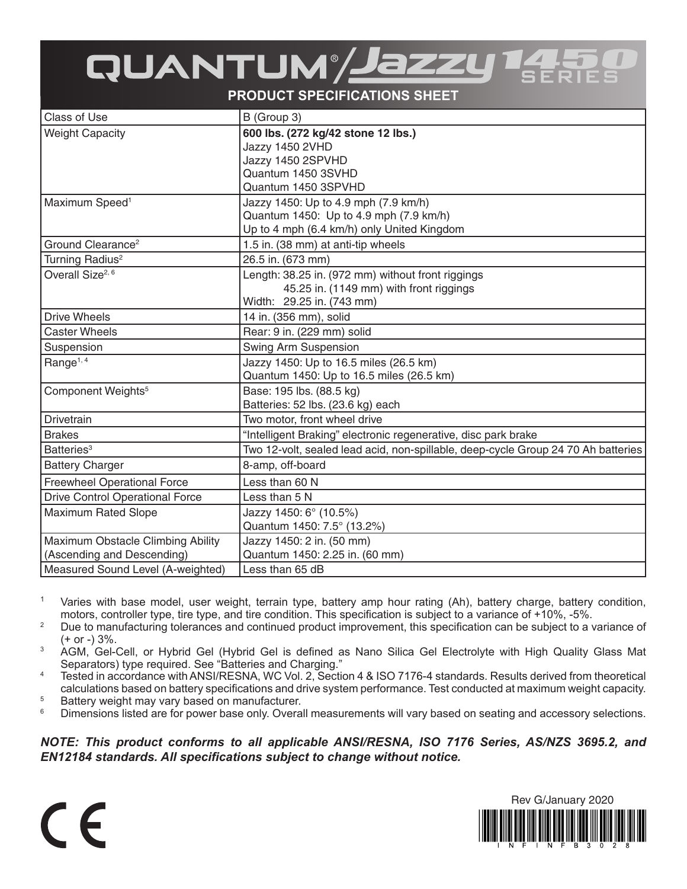## QUANTUM / Jazzy

**PRODUCT SPECIFICATIONS SHEET**

| <b>Class of Use</b>                    | B (Group 3)                                                                       |
|----------------------------------------|-----------------------------------------------------------------------------------|
| <b>Weight Capacity</b>                 | 600 lbs. (272 kg/42 stone 12 lbs.)                                                |
|                                        | Jazzy 1450 2VHD                                                                   |
|                                        | Jazzy 1450 2SPVHD                                                                 |
|                                        | Quantum 1450 3SVHD                                                                |
|                                        | Quantum 1450 3SPVHD                                                               |
| Maximum Speed <sup>1</sup>             | Jazzy 1450: Up to 4.9 mph (7.9 km/h)                                              |
|                                        | Quantum 1450: Up to 4.9 mph (7.9 km/h)                                            |
|                                        | Up to 4 mph (6.4 km/h) only United Kingdom                                        |
| Ground Clearance <sup>2</sup>          | 1.5 in. (38 mm) at anti-tip wheels                                                |
| Turning Radius <sup>2</sup>            | 26.5 in. (673 mm)                                                                 |
| Overall Size <sup>2, 6</sup>           | Length: 38.25 in. (972 mm) without front riggings                                 |
|                                        | 45.25 in. (1149 mm) with front riggings                                           |
|                                        | Width: 29.25 in. (743 mm)                                                         |
| <b>Drive Wheels</b>                    | 14 in. (356 mm), solid                                                            |
| <b>Caster Wheels</b>                   | Rear: 9 in. (229 mm) solid                                                        |
| Suspension                             | Swing Arm Suspension                                                              |
| Range <sup>1, 4</sup>                  | Jazzy 1450: Up to 16.5 miles (26.5 km)                                            |
|                                        | Quantum 1450: Up to 16.5 miles (26.5 km)                                          |
| Component Weights <sup>5</sup>         | Base: 195 lbs. (88.5 kg)                                                          |
|                                        | Batteries: 52 lbs. (23.6 kg) each                                                 |
| Drivetrain                             | Two motor, front wheel drive                                                      |
| <b>Brakes</b>                          | "Intelligent Braking" electronic regenerative, disc park brake                    |
| Batteries <sup>3</sup>                 | Two 12-volt, sealed lead acid, non-spillable, deep-cycle Group 24 70 Ah batteries |
| <b>Battery Charger</b>                 | 8-amp, off-board                                                                  |
| <b>Freewheel Operational Force</b>     | Less than 60 N                                                                    |
| <b>Drive Control Operational Force</b> | Less than 5 N                                                                     |
| <b>Maximum Rated Slope</b>             | Jazzy 1450: 6° (10.5%)                                                            |
|                                        | Quantum 1450: 7.5° (13.2%)                                                        |
| Maximum Obstacle Climbing Ability      | Jazzy 1450: 2 in. (50 mm)                                                         |
| (Ascending and Descending)             | Quantum 1450: 2.25 in. (60 mm)                                                    |
| Measured Sound Level (A-weighted)      | Less than 65 dB                                                                   |

- <sup>1</sup> Varies with base model, user weight, terrain type, battery amp hour rating (Ah), battery charge, battery condition, motors, controller type, tire type, and tire condition. This specification is subject to a variance of +10%, -5%.
- <sup>2</sup> Due to manufacturing tolerances and continued product improvement, this specification can be subject to a variance of (+ or -) 3%.
- <sup>3</sup> AGM, Gel-Cell, or Hybrid Gel (Hybrid Gel is defined as Nano Silica Gel Electrolyte with High Quality Glass Mat Separators) type required. See "Batteries and Charging."
- <sup>4</sup> Tested in accordance with ANSI/RESNA, WC Vol. 2, Section 4 & ISO 7176-4 standards. Results derived from theoretical calculations based on battery specifications and drive system performance. Test conducted at maximum weight capacity.
- <sup>5</sup> Battery weight may vary based on manufacturer.<br><sup>6</sup> Dimensions listed are for nower base only Overal Dimensions listed are for power base only. Overall measurements will vary based on seating and accessory selections.

*NOTE: This product conforms to all applicable ANSI/RESNA, ISO 7176 Series, AS/NZS 3695.2, and EN12184 standards. All specifications subject to change without notice.*

 $\epsilon$